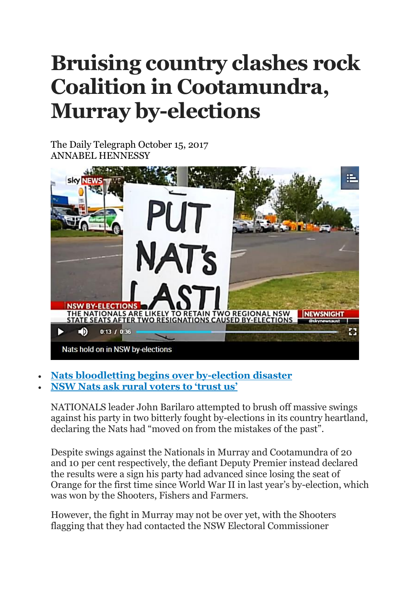## **Bruising country clashes rock Coalition in Cootamundra, Murray by-elections**

The Daily Telegraph October 15, 2017 ANNABEL HENNESSY



- **Nats [bloodletting](http://www.dailytelegraph.com.au/news/nsw/nsw-byelections-2017-nationals-bloodletting-begins-over-byelection-disaster/news-story/13f1668f6ad7063fc36750f1df3ea393) begins over by-election disaster**
- **NSW Nats ask rural [voters](http://www.dailytelegraph.com.au/news/nsw/byelections-nationals-leader-john-barilarios-plea-to-angry-rural-voters-trust-me-or-boot-us-out/news-story/8047f15d8421350285307ab45c901fd9) to 'trust us'**

NATIONALS leader John Barilaro attempted to brush off massive swings against his party in two bitterly fought by-elections in its country heartland, declaring the Nats had "moved on from the mistakes of the past".

Despite swings against the Nationals in Murray and Cootamundra of 20 and 10 per cent respectively, the defiant Deputy Premier instead declared the results were a sign his party had advanced since losing the seat of Orange for the first time since World War II in last year's by-election, which was won by the Shooters, Fishers and Farmers.

However, the fight in Murray may not be over yet, with the Shooters flagging that they had contacted the NSW Electoral Commissioner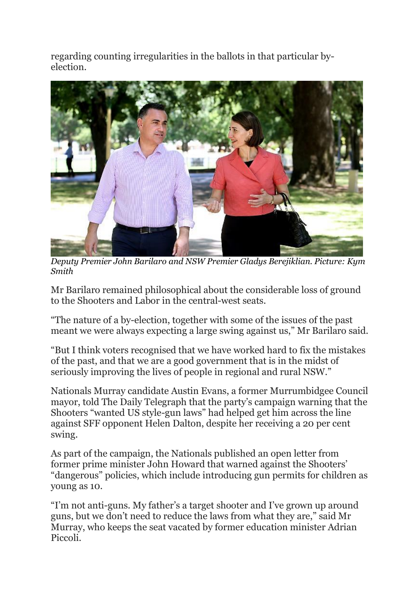regarding counting irregularities in the ballots in that particular byelection.



*Deputy Premier John Barilaro and NSW Premier Gladys Berejiklian. Picture: Kym Smith*

Mr Barilaro remained philosophical about the considerable loss of ground to the Shooters and Labor in the central-west seats.

"The nature of a by-election, together with some of the issues of the past meant we were always expecting a large swing against us," Mr Barilaro said.

"But I think voters recognised that we have worked hard to fix the mistakes of the past, and that we are a good government that is in the midst of seriously improving the lives of people in regional and rural NSW."

Nationals Murray candidate Austin Evans, a former Murrumbidgee Council mayor, told The Daily Telegraph that the party's campaign warning that the Shooters "wanted US style-gun laws" had helped get him across the line against SFF opponent Helen Dalton, despite her receiving a 20 per cent swing.

As part of the campaign, the Nationals published an open letter from former prime minister John Howard that warned against the Shooters' "dangerous" policies, which include introducing gun permits for children as young as 10.

"I'm not anti-guns. My father's a target shooter and I've grown up around guns, but we don't need to reduce the laws from what they are," said Mr Murray, who keeps the seat vacated by former education minister Adrian Piccoli.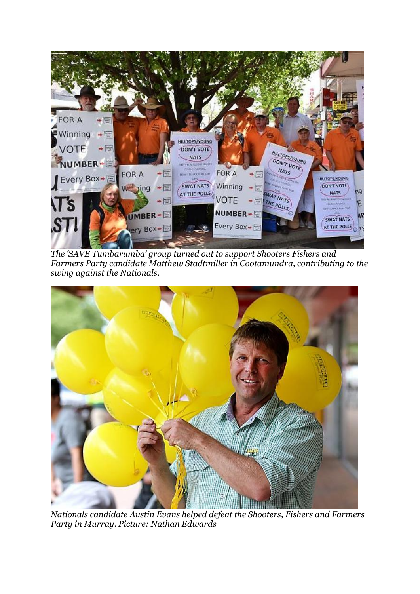

*The 'SAVE Tumbarumba' group turned out to support Shooters Fishers and Farmers Party candidate Matthew Stadtmiller in Cootamundra, contributing to the swing against the Nationals.*



*Nationals candidate Austin Evans helped defeat the Shooters, Fishers and Farmers Party in Murray. Picture: Nathan Edwards*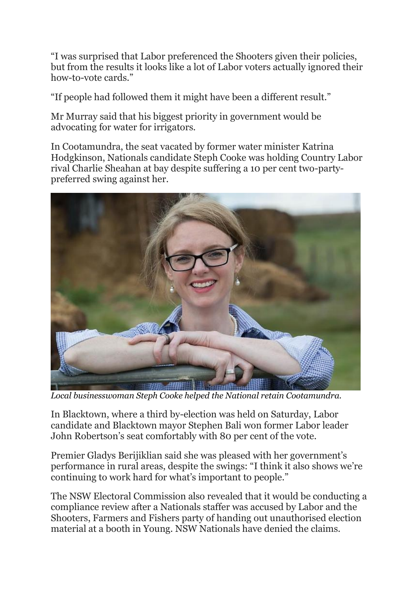"I was surprised that Labor preferenced the Shooters given their policies, but from the results it looks like a lot of Labor voters actually ignored their how-to-vote cards."

"If people had followed them it might have been a different result."

Mr Murray said that his biggest priority in government would be advocating for water for irrigators.

In Cootamundra, the seat vacated by former water minister Katrina Hodgkinson, Nationals candidate Steph Cooke was holding Country Labor rival Charlie Sheahan at bay despite suffering a 10 per cent two-partypreferred swing against her.



*Local businesswoman Steph Cooke helped the National retain Cootamundra.*

In Blacktown, where a third by-election was held on Saturday, Labor candidate and Blacktown mayor Stephen Bali won former Labor leader John Robertson's seat comfortably with 80 per cent of the vote.

Premier Gladys Berijiklian said she was pleased with her government's performance in rural areas, despite the swings: "I think it also shows we're continuing to work hard for what's important to people."

The NSW Electoral Commission also revealed that it would be conducting a compliance review after a Nationals staffer was accused by Labor and the Shooters, Farmers and Fishers party of handing out unauthorised election material at a booth in Young. NSW Nationals have denied the claims.